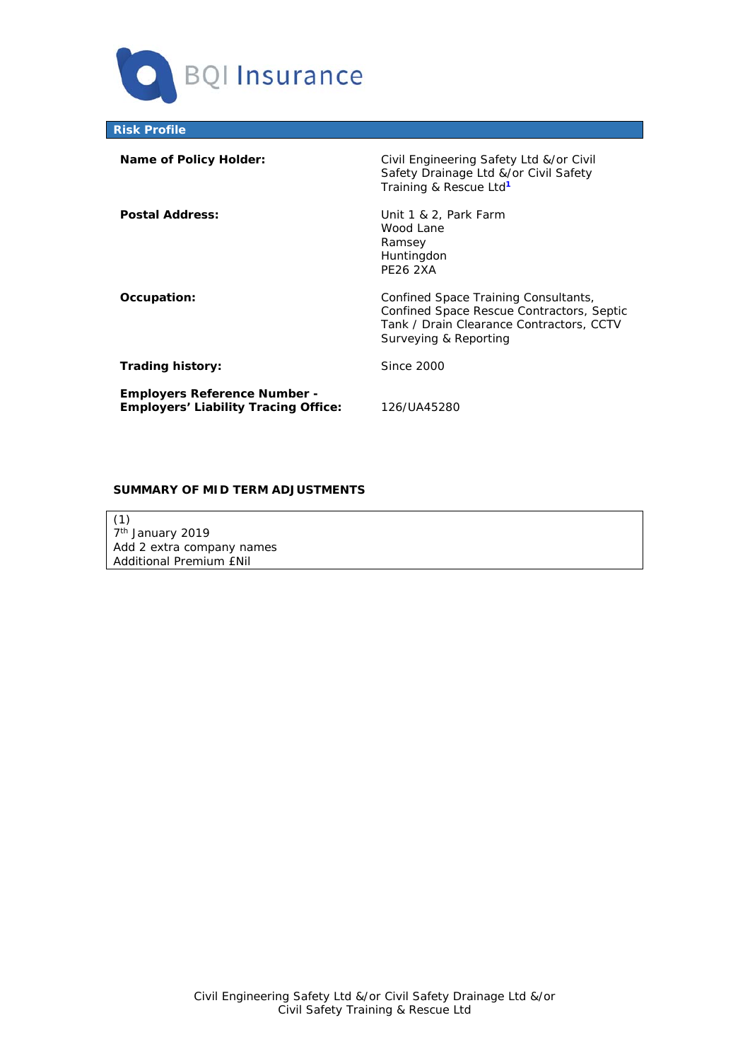

**Risk Profile** 

| Name of Policy Holder:                                                             | Civil Engineering Safety Ltd &/or Civil<br>Safety Drainage Ltd &/or Civil Safety<br>Training & Rescue Ltd <sup>1</sup>                                 |
|------------------------------------------------------------------------------------|--------------------------------------------------------------------------------------------------------------------------------------------------------|
| <b>Postal Address:</b>                                                             | Unit 1 & 2, Park Farm<br>Wood Lane<br>Ramsey<br>Huntingdon<br><b>PE26 2XA</b>                                                                          |
| Occupation:                                                                        | Confined Space Training Consultants,<br>Confined Space Rescue Contractors, Septic<br>Tank / Drain Clearance Contractors, CCTV<br>Surveying & Reporting |
| Trading history:                                                                   | Since 2000                                                                                                                                             |
| <b>Employers Reference Number -</b><br><b>Employers' Liability Tracing Office:</b> | 126/UA45280                                                                                                                                            |

# **SUMMARY OF MID TERM ADJUSTMENTS**

(1) 7<sup>th</sup> January 2019 Add 2 extra company names Additional Premium £Nil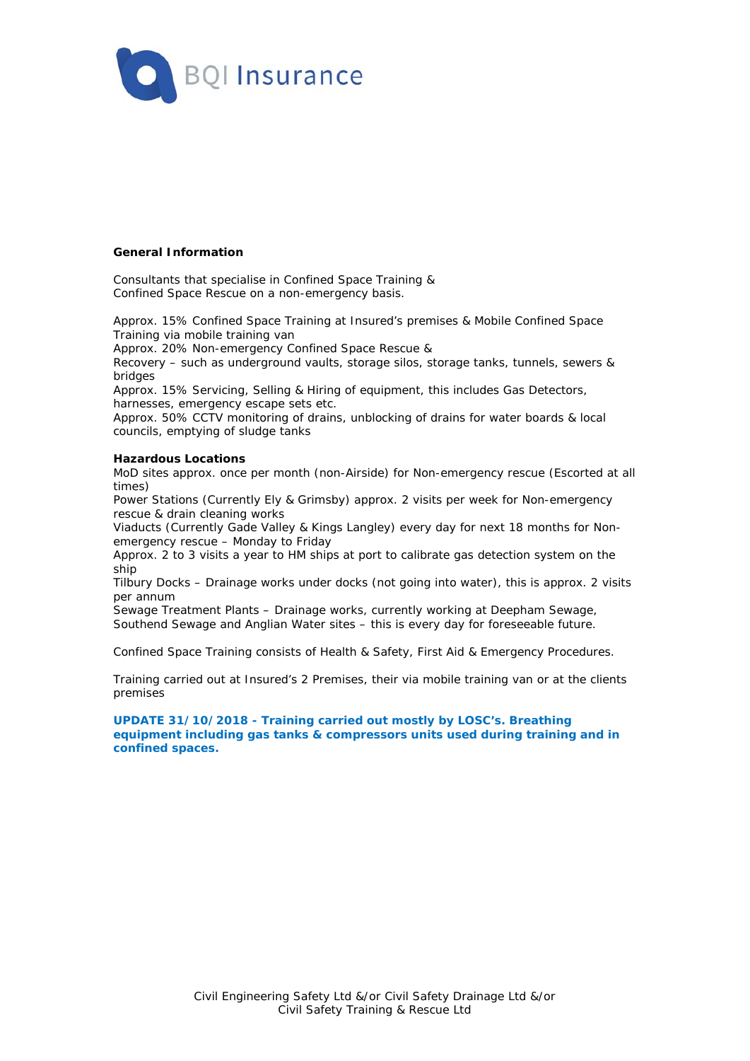

### **General Information**

Consultants that specialise in Confined Space Training & Confined Space Rescue on a non-emergency basis.

Approx. 15% Confined Space Training at Insured's premises & Mobile Confined Space Training via mobile training van

Approx. 20% Non-emergency Confined Space Rescue &

Recovery – such as underground vaults, storage silos, storage tanks, tunnels, sewers & bridges

Approx. 15% Servicing, Selling & Hiring of equipment, this includes Gas Detectors, harnesses, emergency escape sets etc.

Approx. 50% CCTV monitoring of drains, unblocking of drains for water boards & local councils, emptying of sludge tanks

#### **Hazardous Locations**

MoD sites approx. once per month (non-Airside) for Non-emergency rescue (Escorted at all times)

Power Stations (Currently Ely & Grimsby) approx. 2 visits per week for Non-emergency rescue & drain cleaning works

Viaducts (Currently Gade Valley & Kings Langley) every day for next 18 months for Nonemergency rescue – Monday to Friday

Approx. 2 to 3 visits a year to HM ships at port to calibrate gas detection system on the ship

Tilbury Docks – Drainage works under docks (not going into water), this is approx. 2 visits per annum

Sewage Treatment Plants – Drainage works, currently working at Deepham Sewage, Southend Sewage and Anglian Water sites – this is every day for foreseeable future.

Confined Space Training consists of Health & Safety, First Aid & Emergency Procedures.

Training carried out at Insured's 2 Premises, their via mobile training van or at the clients premises

### **UPDATE 31/10/2018 - Training carried out mostly by LOSC's. Breathing equipment including gas tanks & compressors units used during training and in confined spaces.**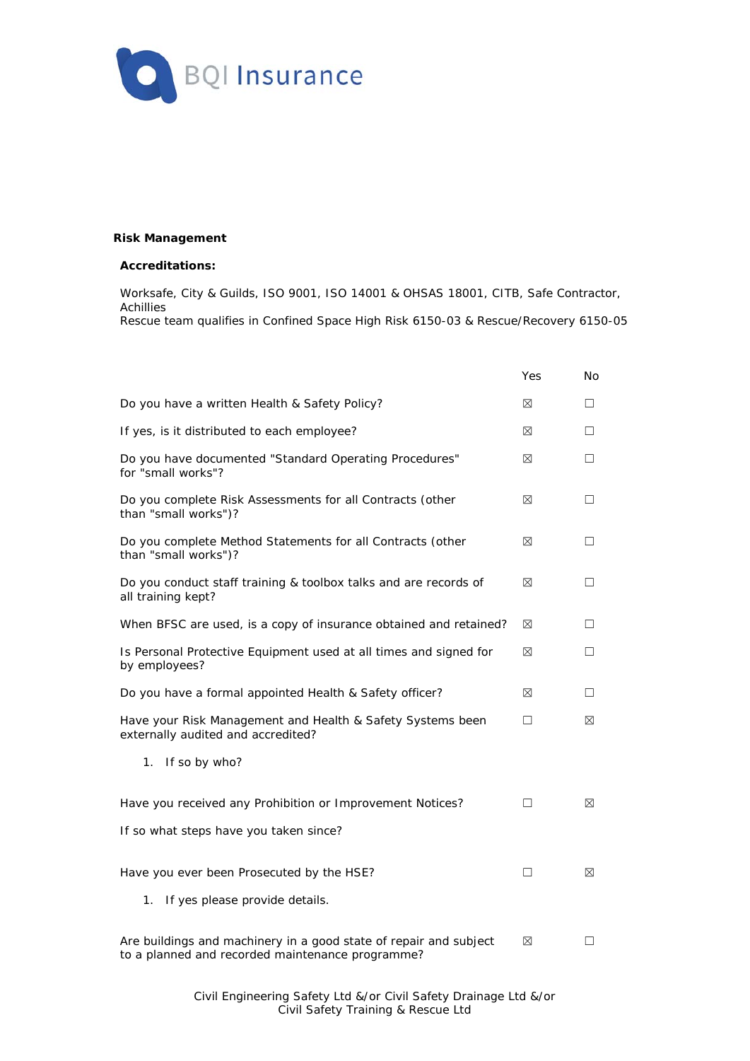

## **Risk Management**

### **Accreditations:**

Worksafe, City & Guilds, ISO 9001, ISO 14001 & OHSAS 18001, CITB, Safe Contractor, Achillies Rescue team qualifies in Confined Space High Risk 6150-03 & Rescue/Recovery 6150-05

|                                                                                                                       | Yes | No          |
|-----------------------------------------------------------------------------------------------------------------------|-----|-------------|
| Do you have a written Health & Safety Policy?                                                                         | ⊠   | □           |
| If yes, is it distributed to each employee?                                                                           | ⊠   | П           |
| Do you have documented "Standard Operating Procedures"<br>for "small works"?                                          | ⊠   | П           |
| Do you complete Risk Assessments for all Contracts (other<br>than "small works")?                                     | ⊠   | □           |
| Do you complete Method Statements for all Contracts (other<br>than "small works")?                                    | ⊠   | П           |
| Do you conduct staff training & toolbox talks and are records of<br>all training kept?                                | ⊠   | П           |
| When BFSC are used, is a copy of insurance obtained and retained?                                                     | ⊠   | П           |
| Is Personal Protective Equipment used at all times and signed for<br>by employees?                                    | ⊠   | П           |
| Do you have a formal appointed Health & Safety officer?                                                               | ⊠   | □           |
| Have your Risk Management and Health & Safety Systems been<br>externally audited and accredited?                      | □   | ⊠           |
| If so by who?<br>1.                                                                                                   |     |             |
| Have you received any Prohibition or Improvement Notices?                                                             | П   | $\boxtimes$ |
| If so what steps have you taken since?                                                                                |     |             |
| Have you ever been Prosecuted by the HSE?                                                                             | П   | ⊠           |
| If yes please provide details.<br>1.                                                                                  |     |             |
| Are buildings and machinery in a good state of repair and subject<br>to a planned and recorded maintenance programme? | ⊠   | H           |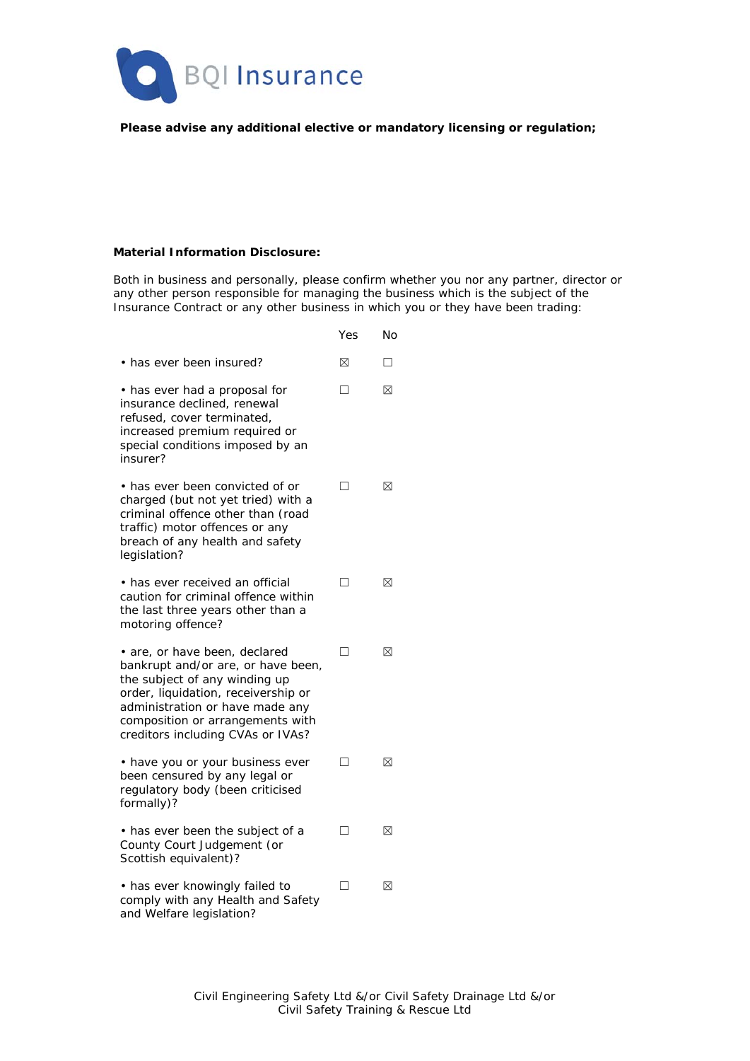

# **Please advise any additional elective or mandatory licensing or regulation;**

### **Material Information Disclosure:**

Both in business and personally, please confirm whether you nor any partner, director or any other person responsible for managing the business which is the subject of the Insurance Contract or any other business in which you or they have been trading:

|                                                                                                                                                                                                                                                         | Yes | No |
|---------------------------------------------------------------------------------------------------------------------------------------------------------------------------------------------------------------------------------------------------------|-----|----|
| • has ever been insured?                                                                                                                                                                                                                                | ⊠   | П  |
| • has ever had a proposal for<br>insurance declined, renewal<br>refused, cover terminated,<br>increased premium required or<br>special conditions imposed by an<br>insurer?                                                                             | П   | ⊠  |
| • has ever been convicted of or<br>charged (but not yet tried) with a<br>criminal offence other than (road<br>traffic) motor offences or any<br>breach of any health and safety<br>legislation?                                                         | П   | ⊠  |
| • has ever received an official<br>caution for criminal offence within<br>the last three years other than a<br>motoring offence?                                                                                                                        | П   | ⊠  |
| • are, or have been, declared<br>bankrupt and/or are, or have been,<br>the subject of any winding up<br>order, liquidation, receivership or<br>administration or have made any<br>composition or arrangements with<br>creditors including CVAs or IVAs? | П   | ⊠  |
| • have you or your business ever<br>been censured by any legal or<br>regulatory body (been criticised<br>formally)?                                                                                                                                     | П   | ⊠  |
| • has ever been the subject of a<br>County Court Judgement (or<br>Scottish equivalent)?                                                                                                                                                                 | П   | ⊠  |
| • has ever knowingly failed to<br>comply with any Health and Safety<br>and Welfare legislation?                                                                                                                                                         | П   | ⊠  |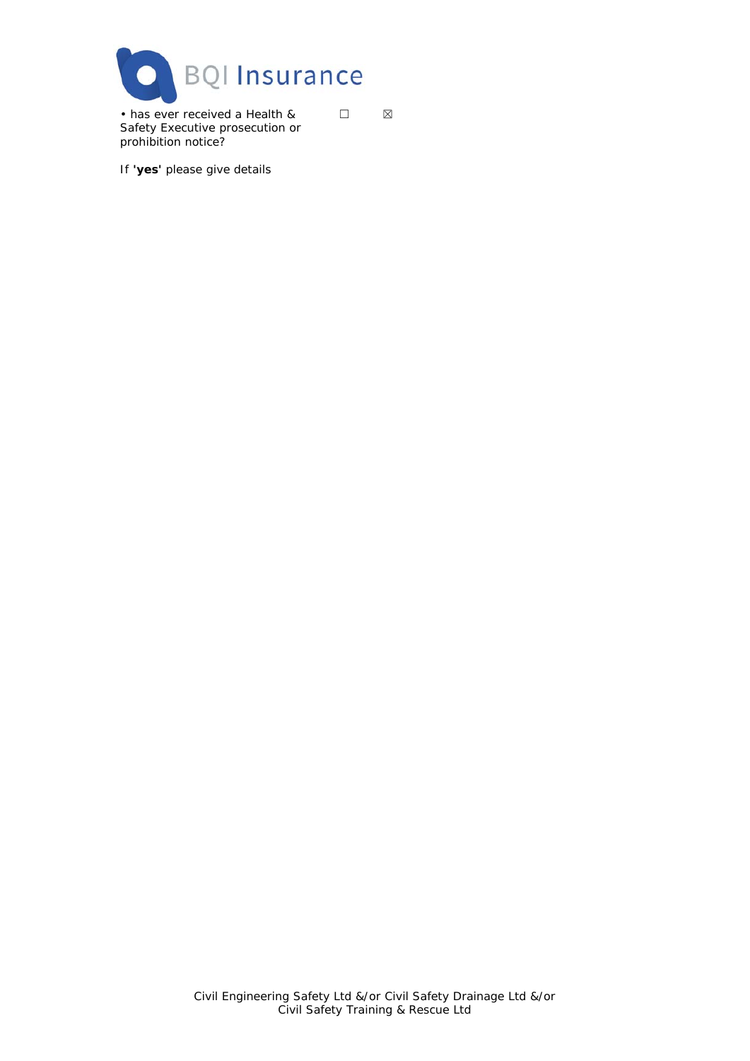

• has ever received a Health & Safety Executive prosecution or prohibition notice?

 $\Box$ 

If **'yes'** please give details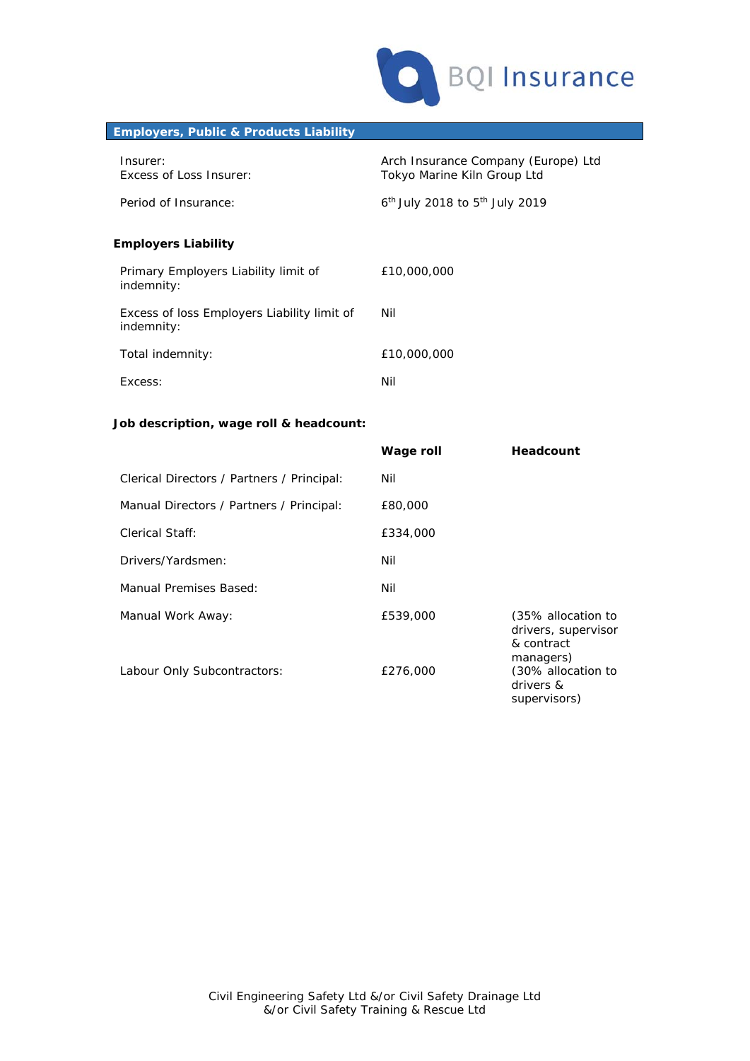

# **Employers, Public & Products Liability**

| Insurer:<br>Excess of Loss Insurer:                       | Arch Insurance Company (Europe) Ltd<br>Tokyo Marine Kiln Group Ltd |
|-----------------------------------------------------------|--------------------------------------------------------------------|
| Period of Insurance:                                      | $6th$ July 2018 to $5th$ July 2019                                 |
| <b>Employers Liability</b>                                |                                                                    |
| Primary Employers Liability limit of<br>indemnity:        | £10,000,000                                                        |
| Excess of loss Employers Liability limit of<br>indemnity: | Nil                                                                |
| Total indemnity:                                          | £10,000,000                                                        |
| Excess:                                                   | Nil                                                                |

# **Job description, wage roll & headcount:**

|                                            | Wage roll | Headcount                                                            |
|--------------------------------------------|-----------|----------------------------------------------------------------------|
| Clerical Directors / Partners / Principal: | Nil       |                                                                      |
| Manual Directors / Partners / Principal:   | £80,000   |                                                                      |
| Clerical Staff:                            | £334,000  |                                                                      |
| Drivers/Yardsmen:                          | Nil       |                                                                      |
| Manual Premises Based:                     | Nil       |                                                                      |
| Manual Work Away:                          | £539,000  | (35% allocation to<br>drivers, supervisor<br>& contract<br>managers) |
| Labour Only Subcontractors:                | £276,000  | (30% allocation to<br>drivers &<br>supervisors)                      |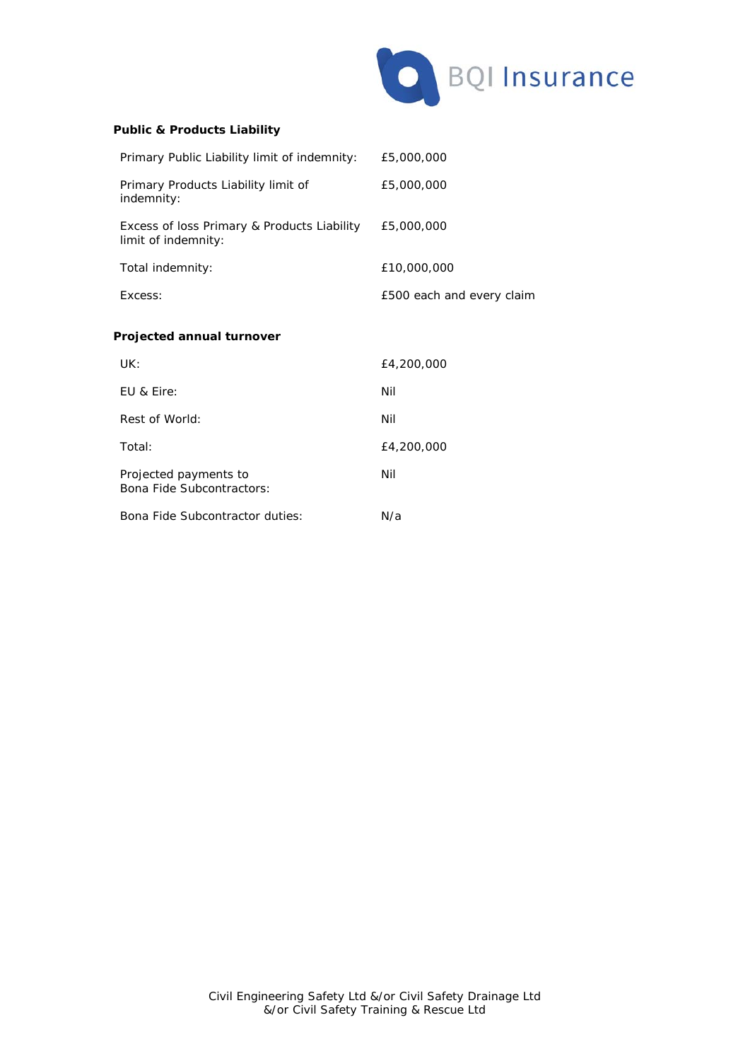

# **Public & Products Liability**

| Primary Public Liability limit of indemnity:                       | £5,000,000                |
|--------------------------------------------------------------------|---------------------------|
| Primary Products Liability limit of<br>indemnity:                  | £5,000,000                |
| Excess of loss Primary & Products Liability<br>limit of indemnity: | £5,000,000                |
| Total indemnity:                                                   | £10,000,000               |
| Excess:                                                            | £500 each and every claim |
| Projected annual turnover                                          |                           |
| UK:                                                                | £4,200,000                |
| EU & Eire:                                                         | Nil                       |
| Rest of World:                                                     | Nil                       |
| Total:                                                             | £4,200,000                |
| Projected payments to<br>Bona Fide Subcontractors:                 | Nil                       |
| Bona Fide Subcontractor duties:                                    | N/a                       |